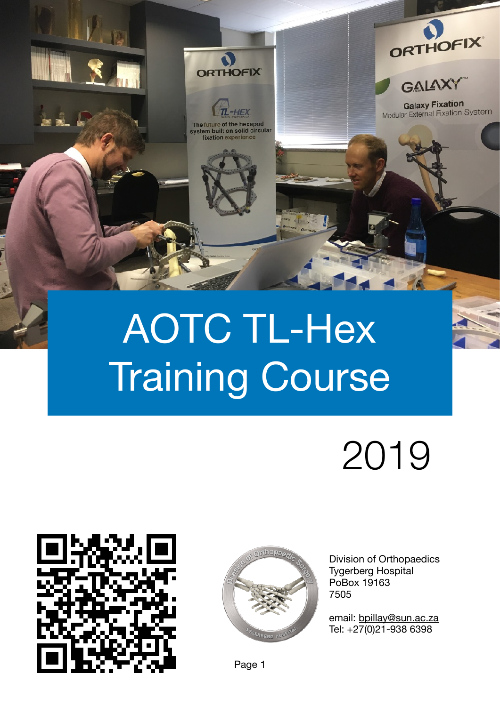

# AOTC TL-Hex Training Course

# 2019





Division of Orthopaedics Tygerberg Hospital PoBox 19163 7505

email: [bpillay@sun.ac.za](mailto:bpillay@sun.ac.za) Tel: +27(0)21-938 6398

Page 1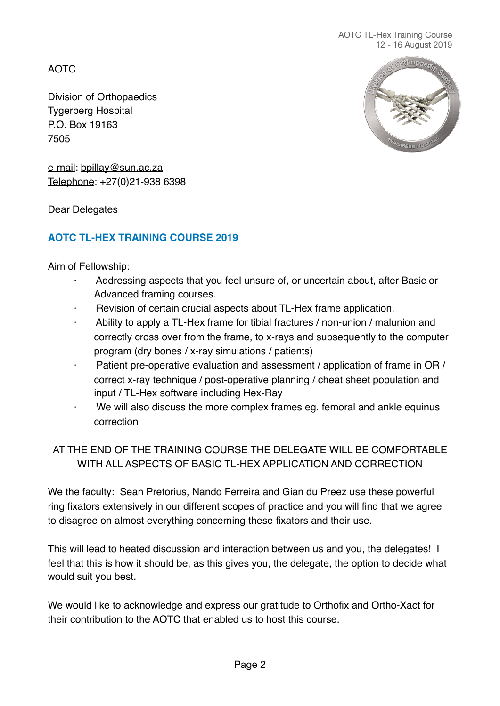AOTC

Division of Orthopaedics Tygerberg Hospital P.O. Box 19163 7505



e-mail: [bpillay@sun.ac.za](mailto:bpillay@sun.ac.za) Telephone: +27(0)21-938 6398

Dear Delegates

## **AOTC TL-HEX TRAINING COURSE 2019**

Aim of Fellowship:

- Addressing aspects that you feel unsure of, or uncertain about, after Basic or Advanced framing courses.
- Revision of certain crucial aspects about TL-Hex frame application.
- Ability to apply a TL-Hex frame for tibial fractures / non-union / malunion and correctly cross over from the frame, to x-rays and subsequently to the computer program (dry bones / x-ray simulations / patients)
- Patient pre-operative evaluation and assessment / application of frame in OR / correct x-ray technique / post-operative planning / cheat sheet population and input / TL-Hex software including Hex-Ray
- We will also discuss the more complex frames eg. femoral and ankle equinus correction

# AT THE END OF THE TRAINING COURSE THE DELEGATE WILL BE COMFORTABLE WITH ALL ASPECTS OF BASIC TL-HEX APPLICATION AND CORRECTION

We the faculty: Sean Pretorius, Nando Ferreira and Gian du Preez use these powerful ring fixators extensively in our different scopes of practice and you will find that we agree to disagree on almost everything concerning these fixators and their use.

This will lead to heated discussion and interaction between us and you, the delegates! I feel that this is how it should be, as this gives you, the delegate, the option to decide what would suit you best.

We would like to acknowledge and express our gratitude to Orthofix and Ortho-Xact for their contribution to the AOTC that enabled us to host this course.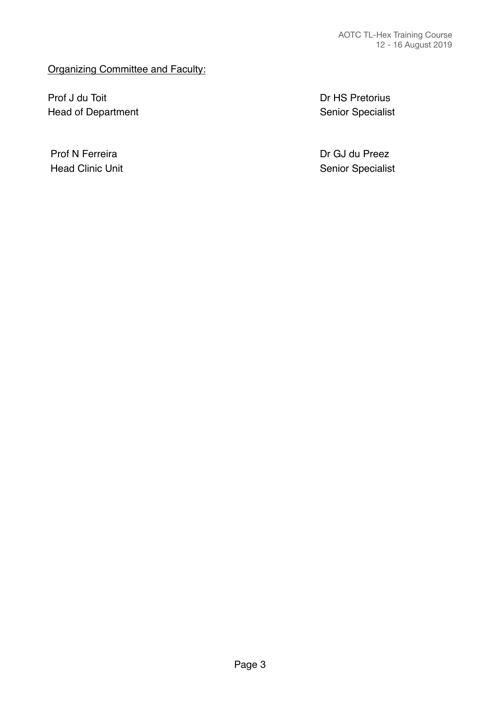#### Organizing Committee and Faculty:

Prof J du Toit **Branch and Transformation** Dr HS Pretorius Head of Department **Head of Department Exercise 20** and  $\alpha$  Senior Specialist

Prof N Ferreira **Dr GJ du Preez** Head Clinic Unit **Head Clinic Unit Head Clinic Unit Clinic Specialist Senior Specialist**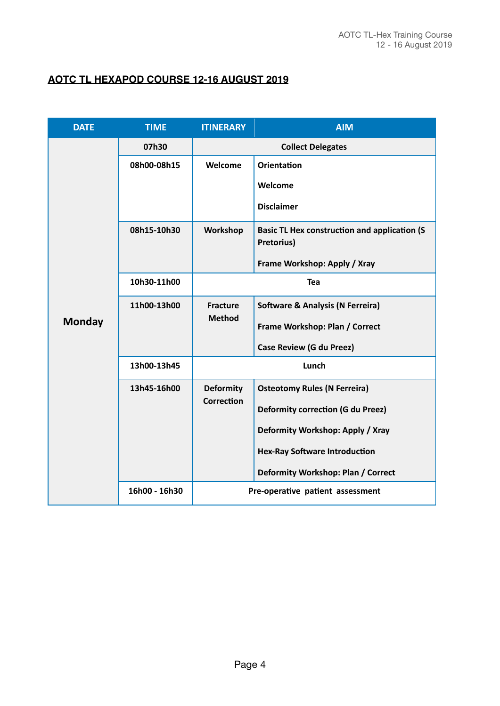#### **AOTC TL HEXAPOD COURSE 12-16 AUGUST 2019**

| <b>DATE</b>   | <b>TIME</b>   | <b>ITINERARY</b>                 | <b>AIM</b>                                                        |
|---------------|---------------|----------------------------------|-------------------------------------------------------------------|
|               | 07h30         | <b>Collect Delegates</b>         |                                                                   |
|               | 08h00-08h15   | Welcome                          | <b>Orientation</b>                                                |
|               |               |                                  | Welcome                                                           |
|               |               |                                  | <b>Disclaimer</b>                                                 |
|               | 08h15-10h30   | Workshop                         | <b>Basic TL Hex construction and application (S</b><br>Pretorius) |
|               |               |                                  | Frame Workshop: Apply / Xray                                      |
|               | 10h30-11h00   | <b>Tea</b>                       |                                                                   |
|               | 11h00-13h00   | <b>Fracture</b><br><b>Method</b> | <b>Software &amp; Analysis (N Ferreira)</b>                       |
| <b>Monday</b> |               |                                  | Frame Workshop: Plan / Correct                                    |
|               |               |                                  | <b>Case Review (G du Preez)</b>                                   |
|               | 13h00-13h45   | Lunch                            |                                                                   |
|               | 13h45-16h00   | <b>Deformity</b>                 | <b>Osteotomy Rules (N Ferreira)</b>                               |
|               |               | <b>Correction</b>                | <b>Deformity correction (G du Preez)</b>                          |
|               |               |                                  | Deformity Workshop: Apply / Xray                                  |
|               |               |                                  | <b>Hex-Ray Software Introduction</b>                              |
|               |               |                                  | Deformity Workshop: Plan / Correct                                |
|               | 16h00 - 16h30 |                                  | Pre-operative patient assessment                                  |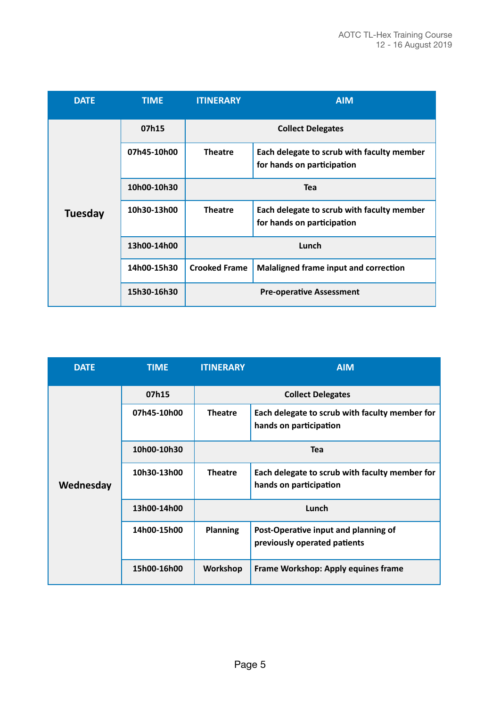| <b>DATE</b>    | <b>TIME</b> | <b>ITINERARY</b>         | <b>AIM</b>                                                               |
|----------------|-------------|--------------------------|--------------------------------------------------------------------------|
| <b>Tuesday</b> | 07h15       | <b>Collect Delegates</b> |                                                                          |
|                | 07h45-10h00 | <b>Theatre</b>           | Each delegate to scrub with faculty member<br>for hands on participation |
|                | 10h00-10h30 | <b>Tea</b>               |                                                                          |
|                | 10h30-13h00 | <b>Theatre</b>           | Each delegate to scrub with faculty member<br>for hands on participation |
|                | 13h00-14h00 | Lunch                    |                                                                          |
|                | 14h00-15h30 | <b>Crooked Frame</b>     | Malaligned frame input and correction                                    |
|                | 15h30-16h30 |                          | <b>Pre-operative Assessment</b>                                          |

| <b>DATE</b> | <b>TIME</b> | <b>ITINERARY</b>         | <b>AIM</b>                                                               |
|-------------|-------------|--------------------------|--------------------------------------------------------------------------|
| Wednesday   | 07h15       | <b>Collect Delegates</b> |                                                                          |
|             | 07h45-10h00 | <b>Theatre</b>           | Each delegate to scrub with faculty member for<br>hands on participation |
|             | 10h00-10h30 | Tea                      |                                                                          |
|             | 10h30-13h00 | <b>Theatre</b>           | Each delegate to scrub with faculty member for<br>hands on participation |
|             | 13h00-14h00 | Lunch                    |                                                                          |
|             | 14h00-15h00 | <b>Planning</b>          | Post-Operative input and planning of<br>previously operated patients     |
|             | 15h00-16h00 | Workshop                 | Frame Workshop: Apply equines frame                                      |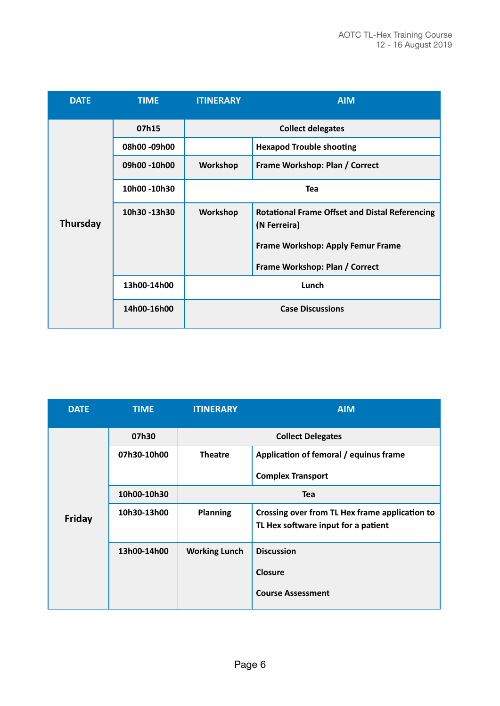| <b>DATE</b> | <b>TIME</b>  | <b>ITINERARY</b>         | <b>AIM</b>                                                            |
|-------------|--------------|--------------------------|-----------------------------------------------------------------------|
|             | 07h15        | <b>Collect delegates</b> |                                                                       |
|             | 08h00 -09h00 |                          | <b>Hexapod Trouble shooting</b>                                       |
|             | 09h00 -10h00 | Workshop                 | Frame Workshop: Plan / Correct                                        |
|             | 10h00 -10h30 | <b>Tea</b>               |                                                                       |
| Thursday    | 10h30-13h30  | Workshop                 | <b>Rotational Frame Offset and Distal Referencing</b><br>(N Ferreira) |
|             |              |                          | Frame Workshop: Apply Femur Frame                                     |
|             |              |                          | Frame Workshop: Plan / Correct                                        |
|             | 13h00-14h00  | Lunch                    |                                                                       |
|             | 14h00-16h00  | <b>Case Discussions</b>  |                                                                       |

| <b>DATE</b>   | <b>TIME</b> | <b>ITINERARY</b>         | <b>AIM</b>                                                                            |
|---------------|-------------|--------------------------|---------------------------------------------------------------------------------------|
| <b>Friday</b> | 07h30       | <b>Collect Delegates</b> |                                                                                       |
|               | 07h30-10h00 | <b>Theatre</b>           | Application of femoral / equinus frame                                                |
|               |             |                          | <b>Complex Transport</b>                                                              |
|               | 10h00-10h30 | Tea                      |                                                                                       |
|               | 10h30-13h00 | <b>Planning</b>          | Crossing over from TL Hex frame application to<br>TL Hex software input for a patient |
|               | 13h00-14h00 | <b>Working Lunch</b>     | <b>Discussion</b>                                                                     |
|               |             |                          | Closure                                                                               |
|               |             |                          | <b>Course Assessment</b>                                                              |